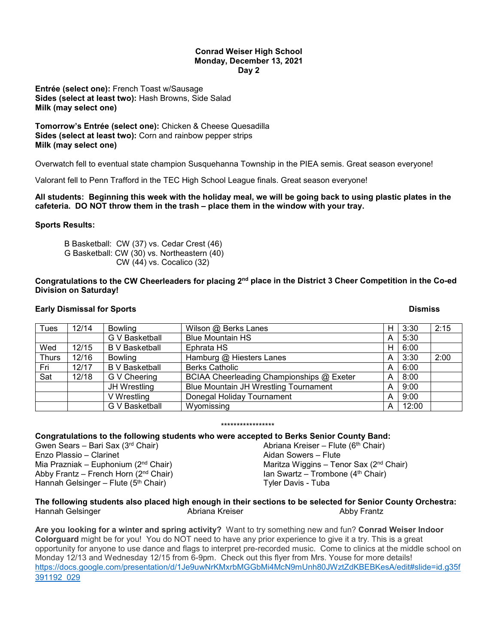#### **Conrad Weiser High School Monday, December 13, 2021 Day 2**

**Entrée (select one):** French Toast w/Sausage **Sides (select at least two):** Hash Browns, Side Salad **Milk (may select one)**

**Tomorrow's Entrée (select one):** Chicken & Cheese Quesadilla **Sides (select at least two):** Corn and rainbow pepper strips **Milk (may select one)**

Overwatch fell to eventual state champion Susquehanna Township in the PIEA semis. Great season everyone!

Valorant fell to Penn Trafford in the TEC High School League finals. Great season everyone!

# **All students: Beginning this week with the holiday meal, we will be going back to using plastic plates in the cafeteria. DO NOT throw them in the trash – place them in the window with your tray.**

# **Sports Results:**

B Basketball: CW (37) vs. Cedar Crest (46) G Basketball: CW (30) vs. Northeastern (40) CW (44) vs. Cocalico (32)

**Congratulations to the CW Cheerleaders for placing 2nd place in the District 3 Cheer Competition in the Co-ed Division on Saturday!** 

# **Early Dismissal for Sports And Science And Science And Science And Science And Science And Science And Science A**

| Tues         | 12/14 | <b>Bowling</b>        | Wilson @ Berks Lanes                      | н | 3:30  | 2:15 |
|--------------|-------|-----------------------|-------------------------------------------|---|-------|------|
|              |       | <b>G V Basketball</b> | <b>Blue Mountain HS</b>                   | А | 5:30  |      |
| Wed          | 12/15 | <b>B</b> V Basketball | Ephrata HS                                | н | 6:00  |      |
| <b>Thurs</b> | 12/16 | <b>Bowling</b>        | Hamburg @ Hiesters Lanes                  | А | 3:30  | 2:00 |
| Fri          | 12/17 | <b>B</b> V Basketball | <b>Berks Catholic</b>                     | А | 6:00  |      |
| Sat          | 12/18 | G V Cheering          | BCIAA Cheerleading Championships @ Exeter | A | 8:00  |      |
|              |       | JH Wrestling          | Blue Mountain JH Wrestling Tournament     | А | 9:00  |      |
|              |       | V Wrestling           | Donegal Holiday Tournament                | А | 9:00  |      |
|              |       | G V Basketball        | Wyomissing                                | А | 12:00 |      |

# \*\*\*\*\*\*\*\*\*\*\*\*\*\*\*\*\*

**Congratulations to the following students who were accepted to Berks Senior County Band:**

Gwen Sears – Bari Sax (3rd Chair) Enzo Plassio – Clarinet Mia Prazniak – Euphonium ( $2<sup>nd</sup>$  Chair) Abby Frantz – French Horn (2nd Chair) Hannah Gelsinger – Flute ( $5<sup>th</sup>$  Chair)

Abriana Kreiser – Flute ( $6<sup>th</sup>$  Chair) Aidan Sowers – Flute Maritza Wiggins - Tenor Sax (2<sup>nd</sup> Chair) Ian Swartz – Trombone (4<sup>th</sup> Chair) Tyler Davis - Tuba

### **The following students also placed high enough in their sections to be selected for Senior County Orchestra:** Hannah Gelsinger Abriana Kreiser Abby Frantz

**Are you looking for a winter and spring activity?** Want to try something new and fun? **Conrad Weiser Indoor Colorguard** might be for you! You do NOT need to have any prior experience to give it a try. This is a great opportunity for anyone to use dance and flags to interpret pre-recorded music. Come to clinics at the middle school on Monday 12/13 and Wednesday 12/15 from 6-9pm. Check out this flyer from Mrs. Youse for more details! [https://docs.google.com/presentation/d/1Je9uwNrKMxrbMGGbMi4McN9mUnh80JWztZdKBEBKesA/edit#slide=id.g35f](https://docs.google.com/presentation/d/1Je9uwNrKMxrbMGGbMi4McN9mUnh80JWztZdKBEBKesA/edit#slide=id.g35f391192_029) [391192\\_029](https://docs.google.com/presentation/d/1Je9uwNrKMxrbMGGbMi4McN9mUnh80JWztZdKBEBKesA/edit#slide=id.g35f391192_029)